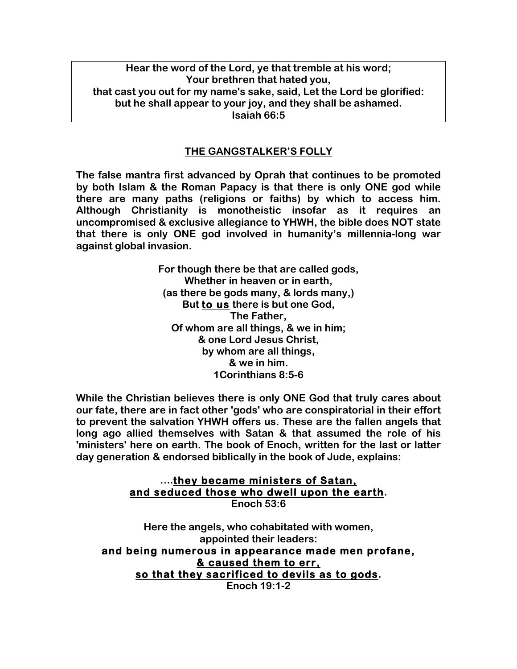**Hear the word of the Lord, ye that tremble at his word; Your brethren that hated you, that cast you out for my name's sake, said, Let the Lord be glorified: but he shall appear to your joy, and they shall be ashamed. Isaiah 66:5**

## **THE GANGSTALKER'S FOLLY**

**The false mantra first advanced by Oprah that continues to be promoted by both Islam & the Roman Papacy is that there is only ONE god while there are many paths (religions or faiths) by which to access him. Although Christianity is monotheistic insofar as it requires an uncompromised & exclusive allegiance to YHWH, the bible does NOT state that there is only ONE god involved in humanity's millennia-long war against global invasion.**

> **For though there be that are called gods, Whether in heaven or in earth, (as there be gods many, & lords many,) But to us there is but one God, The Father, Of whom are all things, & we in him; & one Lord Jesus Christ, by whom are all things, & we in him. 1Corinthians 8:5-6**

**While the Christian believes there is only ONE God that truly cares about our fate, there are in fact other 'gods' who are conspiratorial in their effort to prevent the salvation YHWH offers us. These are the fallen angels that long ago allied themselves with Satan & that assumed the role of his 'ministers' here on earth. The book of Enoch, written for the last or latter day generation & endorsed biblically in the book of Jude, explains:**

# **….they became ministers of Satan, and seduced those who dwell upon the earth. Enoch 53:6**

**Here the angels, who cohabitated with women, appointed their leaders: and being numerous in appearance made men profane, & caused them to err, so that they sacrificed to devils as to gods. Enoch 19:1-2**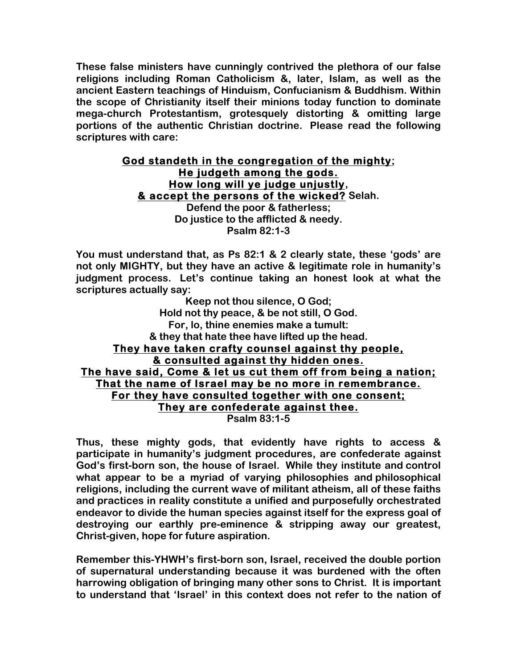**These false ministers have cunningly contrived the plethora of our false religions including Roman Catholicism &, later, Islam, as well as the ancient Eastern teachings of Hinduism, Confucianism & Buddhism. Within the scope of Christianity itself their minions today function to dominate mega-church Protestantism, grotesquely distorting & omitting large portions of the authentic Christian doctrine. Please read the following scriptures with care:**

# **God standeth in the congregation of the mighty; He judgeth among the gods. How long will ye judge unjustly, & accept the persons of the wicked? Selah. Defend the poor & fatherless; Do justice to the afflicted & needy.**

**Psalm 82:1-3**

**You must understand that, as Ps 82:1 & 2 clearly state, these 'gods' are not only MIGHTY, but they have an active & legitimate role in humanity's judgment process. Let's continue taking an honest look at what the scriptures actually say:**

**Keep not thou silence, O God; Hold not thy peace, & be not still, O God. For, lo, thine enemies make a tumult: & they that hate thee have lifted up the head. They have taken crafty counsel against thy people, & consulted against thy hidden ones. The have said, Come & let us cut them off from being a nation; That the name of Israel may be no more in remembrance. For they have consulted together with one consent; They are confederate against thee. Psalm 83:1-5**

**Thus, these mighty gods, that evidently have rights to access & participate in humanity's judgment procedures, are confederate against God's first-born son, the house of Israel. While they institute and control what appear to be a myriad of varying philosophies and philosophical religions, including the current wave of militant atheism, all of these faiths and practices in reality constitute a unified and purposefully orchestrated endeavor to divide the human species against itself for the express goal of destroying our earthly pre-eminence & stripping away our greatest, Christ-given, hope for future aspiration.**

**Remember this-YHWH's first-born son, Israel, received the double portion of supernatural understanding because it was burdened with the often harrowing obligation of bringing many other sons to Christ. It is important to understand that 'Israel' in this context does not refer to the nation of**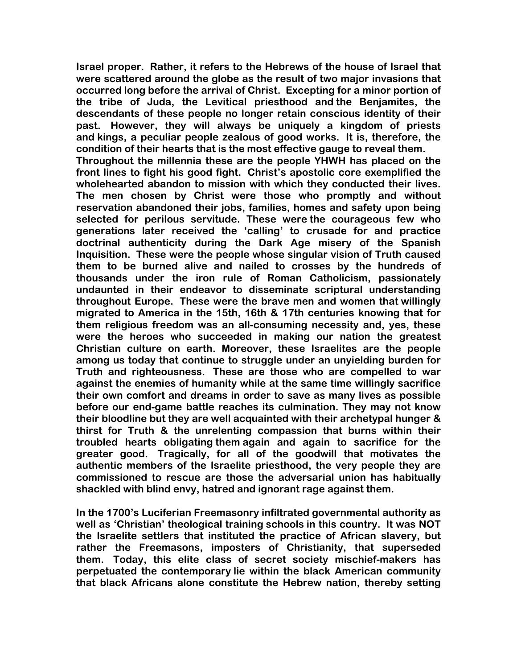**Israel proper. Rather, it refers to the Hebrews of the house of Israel that were scattered around the globe as the result of two major invasions that occurred long before the arrival of Christ. Excepting for a minor portion of the tribe of Juda, the Levitical priesthood and the Benjamites, the descendants of these people no longer retain conscious identity of their past. However, they will always be uniquely a kingdom of priests and kings, a peculiar people zealous of good works. It is, therefore, the condition of their hearts that is the most effective gauge to reveal them.**

**Throughout the millennia these are the people YHWH has placed on the front lines to fight his good fight. Christ's apostolic core exemplified the wholehearted abandon to mission with which they conducted their lives. The men chosen by Christ were those who promptly and without reservation abandoned their jobs, families, homes and safety upon being selected for perilous servitude. These were the courageous few who generations later received the 'calling' to crusade for and practice doctrinal authenticity during the Dark Age misery of the Spanish Inquisition. These were the people whose singular vision of Truth caused them to be burned alive and nailed to crosses by the hundreds of thousands under the iron rule of Roman Catholicism, passionately undaunted in their endeavor to disseminate scriptural understanding throughout Europe. These were the brave men and women that willingly migrated to America in the 15th, 16th & 17th centuries knowing that for them religious freedom was an all-consuming necessity and, yes, these were the heroes who succeeded in making our nation the greatest Christian culture on earth. Moreover, these Israelites are the people among us today that continue to struggle under an unyielding burden for Truth and righteousness. These are those who are compelled to war against the enemies of humanity while at the same time willingly sacrifice their own comfort and dreams in order to save as many lives as possible before our end-game battle reaches its culmination. They may not know their bloodline but they are well acquainted with their archetypal hunger & thirst for Truth & the unrelenting compassion that burns within their troubled hearts obligating them again and again to sacrifice for the greater good. Tragically, for all of the goodwill that motivates the authentic members of the Israelite priesthood, the very people they are commissioned to rescue are those the adversarial union has habitually shackled with blind envy, hatred and ignorant rage against them.**

**In the 1700's Luciferian Freemasonry infiltrated governmental authority as well as 'Christian' theological training schools in this country. It was NOT the Israelite settlers that instituted the practice of African slavery, but rather the Freemasons, imposters of Christianity, that superseded them. Today, this elite class of secret society mischief-makers has perpetuated the contemporary lie within the black American community that black Africans alone constitute the Hebrew nation, thereby setting**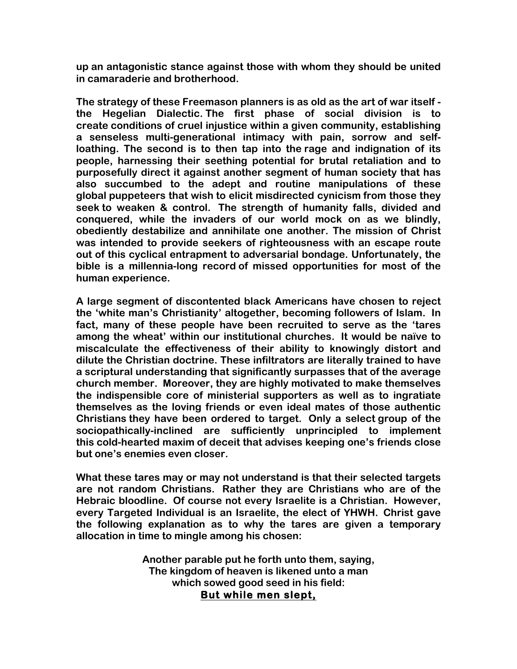**up an antagonistic stance against those with whom they should be united in camaraderie and brotherhood.**

**The strategy of these Freemason planners is as old as the art of war itself the Hegelian Dialectic. The first phase of social division is to create conditions of cruel injustice within a given community, establishing a senseless multi-generational intimacy with pain, sorrow and selfloathing. The second is to then tap into the rage and indignation of its people, harnessing their seething potential for brutal retaliation and to purposefully direct it against another segment of human society that has also succumbed to the adept and routine manipulations of these global puppeteers that wish to elicit misdirected cynicism from those they seek to weaken & control. The strength of humanity falls, divided and conquered, while the invaders of our world mock on as we blindly, obediently destabilize and annihilate one another. The mission of Christ was intended to provide seekers of righteousness with an escape route out of this cyclical entrapment to adversarial bondage. Unfortunately, the bible is a millennia-long record of missed opportunities for most of the human experience.**

**A large segment of discontented black Americans have chosen to reject the 'white man's Christianity' altogether, becoming followers of Islam. In fact, many of these people have been recruited to serve as the 'tares among the wheat' within our institutional churches. It would be naïve to miscalculate the effectiveness of their ability to knowingly distort and dilute the Christian doctrine. These infiltrators are literally trained to have a scriptural understanding that significantly surpasses that of the average church member. Moreover, they are highly motivated to make themselves the indispensible core of ministerial supporters as well as to ingratiate themselves as the loving friends or even ideal mates of those authentic Christians they have been ordered to target. Only a select group of the sociopathically-inclined are sufficiently unprincipled to implement this cold-hearted maxim of deceit that advises keeping one's friends close but one's enemies even closer.**

**What these tares may or may not understand is that their selected targets are not random Christians. Rather they are Christians who are of the Hebraic bloodline. Of course not every Israelite is a Christian. However, every Targeted Individual is an Israelite, the elect of YHWH. Christ gave the following explanation as to why the tares are given a temporary allocation in time to mingle among his chosen:**

> **Another parable put he forth unto them, saying, The kingdom of heaven is likened unto a man which sowed good seed in his field: But while men slept,**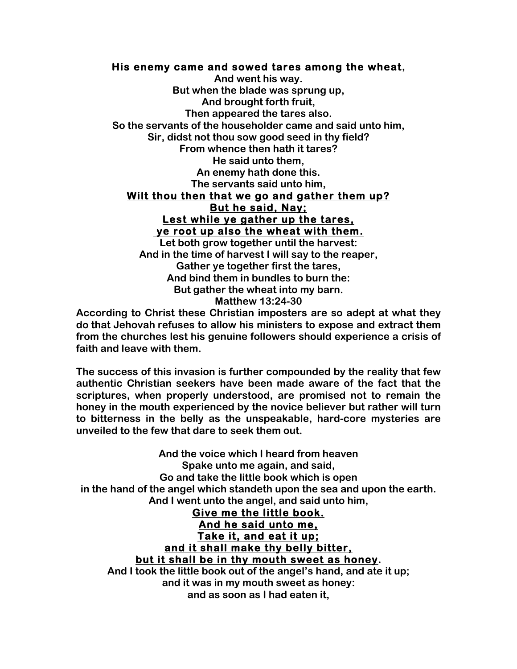### **His enemy came and sowed tares among the wheat,**

**And went his way. But when the blade was sprung up, And brought forth fruit, Then appeared the tares also. So the servants of the householder came and said unto him, Sir, didst not thou sow good seed in thy field? From whence then hath it tares? He said unto them, An enemy hath done this. The servants said unto him, Wilt thou then that we go and gather them up? But he said, Nay; Lest while ye gather up the tares, ye root up also the wheat with them. Let both grow together until the harvest: And in the time of harvest I will say to the reaper, Gather ye together first the tares,**

**And bind them in bundles to burn the: But gather the wheat into my barn. Matthew 13:24-30**

**According to Christ these Christian imposters are so adept at what they do that Jehovah refuses to allow his ministers to expose and extract them from the churches lest his genuine followers should experience a crisis of faith and leave with them.**

**The success of this invasion is further compounded by the reality that few authentic Christian seekers have been made aware of the fact that the scriptures, when properly understood, are promised not to remain the honey in the mouth experienced by the novice believer but rather will turn to bitterness in the belly as the unspeakable, hard-core mysteries are unveiled to the few that dare to seek them out.**

**And the voice which I heard from heaven Spake unto me again, and said, Go and take the little book which is open in the hand of the angel which standeth upon the sea and upon the earth. And I went unto the angel, and said unto him, Give me the little book. And he said unto me, Take it, and eat it up; and it shall make thy belly bitter, but it shall be in thy mouth sweet as honey. And I took the little book out of the angel's hand, and ate it up; and it was in my mouth sweet as honey:**

**and as soon as I had eaten it,**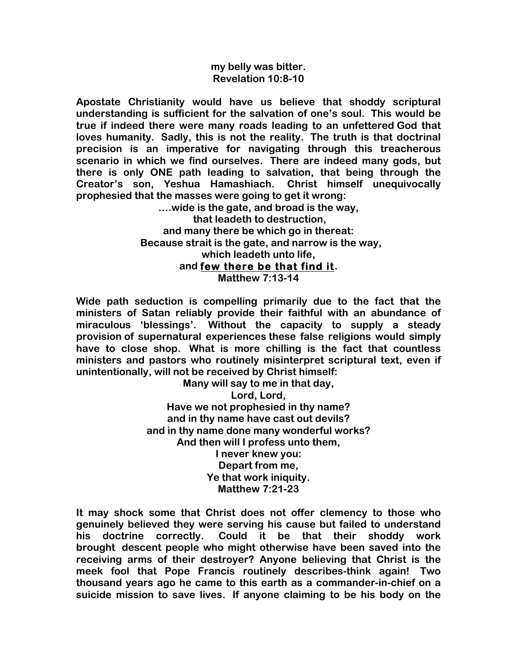### **my belly was bitter. Revelation 10:8-10**

**Apostate Christianity would have us believe that shoddy scriptural understanding is sufficient for the salvation of one's soul. This would be true if indeed there were many roads leading to an unfettered God that loves humanity. Sadly, this is not the reality. The truth is that doctrinal precision is an imperative for navigating through this treacherous scenario in which we find ourselves. There are indeed many gods, but there is only ONE path leading to salvation, that being through the Creator's son, Yeshua Hamashiach. Christ himself unequivocally prophesied that the masses were going to get it wrong:**

**….wide is the gate, and broad is the way, that leadeth to destruction, and many there be which go in thereat: Because strait is the gate, and narrow is the way, which leadeth unto life, and few there be that find it. Matthew 7:13-14**

**Wide path seduction is compelling primarily due to the fact that the ministers of Satan reliably provide their faithful with an abundance of miraculous 'blessings'. Without the capacity to supply a steady provision of supernatural experiences these false religions would simply have to close shop. What is more chilling is the fact that countless ministers and pastors who routinely misinterpret scriptural text, even if unintentionally, will not be received by Christ himself:**

> **Many will say to me in that day, Lord, Lord, Have we not prophesied in thy name? and in thy name have cast out devils? and in thy name done many wonderful works? And then will I profess unto them, I never knew you: Depart from me, Ye that work iniquity. Matthew 7:21-23**

**It may shock some that Christ does not offer clemency to those who genuinely believed they were serving his cause but failed to understand his doctrine correctly. Could it be that their shoddy work brought descent people who might otherwise have been saved into the receiving arms of their destroyer? Anyone believing that Christ is the meek fool that Pope Francis routinely describes-think again! Two thousand years ago he came to this earth as a commander-in-chief on a suicide mission to save lives. If anyone claiming to be his body on the**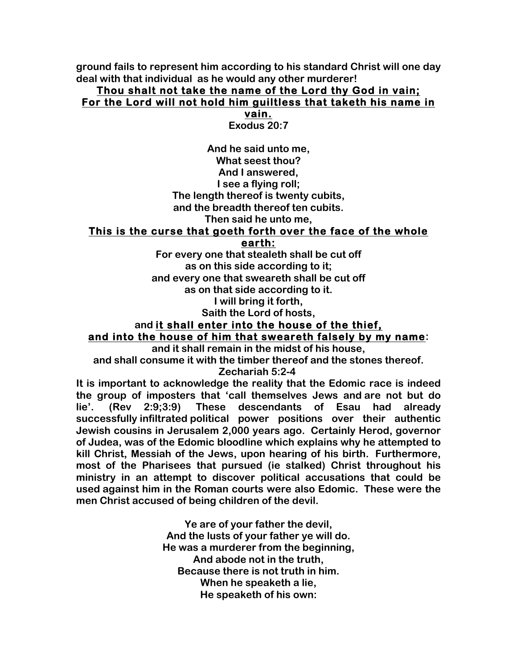**ground fails to represent him according to his standard Christ will one day deal with that individual as he would any other murderer!**

# **Thou shalt not take the name of the Lord thy God in vain; For the Lord will not hold him guiltless that taketh his name in**

**vain.**

**Exodus 20:7**

**And he said unto me, What seest thou? And I answered, I see a flying roll; The length thereof is twenty cubits, and the breadth thereof ten cubits.**

**Then said he unto me,**

### **This is the curse that goeth forth over the face of the whole**

**earth:**

**For every one that stealeth shall be cut off as on this side according to it; and every one that sweareth shall be cut off as on that side according to it.**

**I will bring it forth,**

**Saith the Lord of hosts,**

# **and it shall enter into the house of the thief, and into the house of him that sweareth falsely by my name:**

**and it shall remain in the midst of his house,**

**and shall consume it with the timber thereof and the stones thereof.**

**Zechariah 5:2-4**

**It is important to acknowledge the reality that the Edomic race is indeed the group of imposters that 'call themselves Jews and are not but do lie'. (Rev 2:9;3:9) These descendants of Esau had already successfully infiltrated political power positions over their authentic Jewish cousins in Jerusalem 2,000 years ago. Certainly Herod, governor of Judea, was of the Edomic bloodline which explains why he attempted to kill Christ, Messiah of the Jews, upon hearing of his birth. Furthermore, most of the Pharisees that pursued (ie stalked) Christ throughout his ministry in an attempt to discover political accusations that could be used against him in the Roman courts were also Edomic. These were the men Christ accused of being children of the devil.**

> **Ye are of your father the devil, And the lusts of your father ye will do. He was a murderer from the beginning, And abode not in the truth, Because there is not truth in him. When he speaketh a lie, He speaketh of his own:**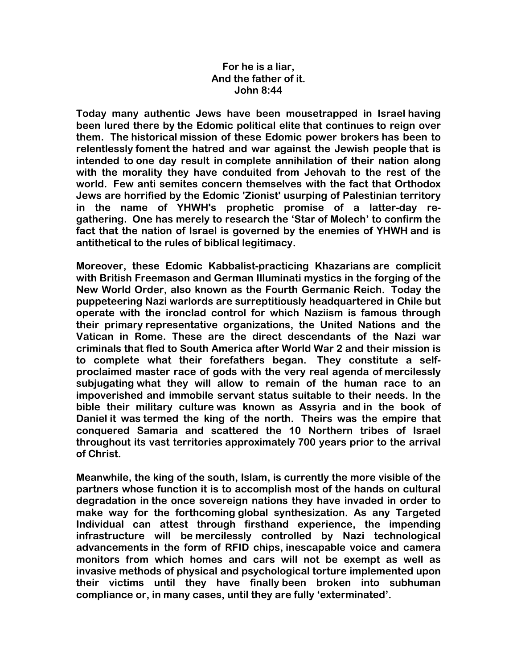### **For he is a liar, And the father of it. John 8:44**

**Today many authentic Jews have been mousetrapped in Israel having been lured there by the Edomic political elite that continues to reign over them. The historical mission of these Edomic power brokers has been to relentlessly foment the hatred and war against the Jewish people that is intended to one day result in complete annihilation of their nation along with the morality they have conduited from Jehovah to the rest of the world. Few anti semites concern themselves with the fact that Orthodox Jews are horrified by the Edomic 'Zionist' usurping of Palestinian territory in the name of YHWH's prophetic promise of a latter-day regathering. One has merely to research the 'Star of Molech' to confirm the fact that the nation of Israel is governed by the enemies of YHWH and is antithetical to the rules of biblical legitimacy.**

**Moreover, these Edomic Kabbalist-practicing Khazarians are complicit with British Freemason and German Illuminati mystics in the forging of the New World Order, also known as the Fourth Germanic Reich. Today the puppeteering Nazi warlords are surreptitiously headquartered in Chile but operate with the ironclad control for which Naziism is famous through their primary representative organizations, the United Nations and the Vatican in Rome. These are the direct descendants of the Nazi war criminals that fled to South America after World War 2 and their mission is to complete what their forefathers began. They constitute a selfproclaimed master race of gods with the very real agenda of mercilessly subjugating what they will allow to remain of the human race to an impoverished and immobile servant status suitable to their needs. In the bible their military culture was known as Assyria and in the book of Daniel it was termed the king of the north. Theirs was the empire that conquered Samaria and scattered the 10 Northern tribes of Israel throughout its vast territories approximately 700 years prior to the arrival of Christ.**

**Meanwhile, the king of the south, Islam, is currently the more visible of the partners whose function it is to accomplish most of the hands on cultural degradation in the once sovereign nations they have invaded in order to make way for the forthcoming global synthesization. As any Targeted Individual can attest through firsthand experience, the impending infrastructure will be mercilessly controlled by Nazi technological advancements in the form of RFID chips, inescapable voice and camera monitors from which homes and cars will not be exempt as well as invasive methods of physical and psychological torture implemented upon their victims until they have finally been broken into subhuman compliance or, in many cases, until they are fully 'exterminated'.**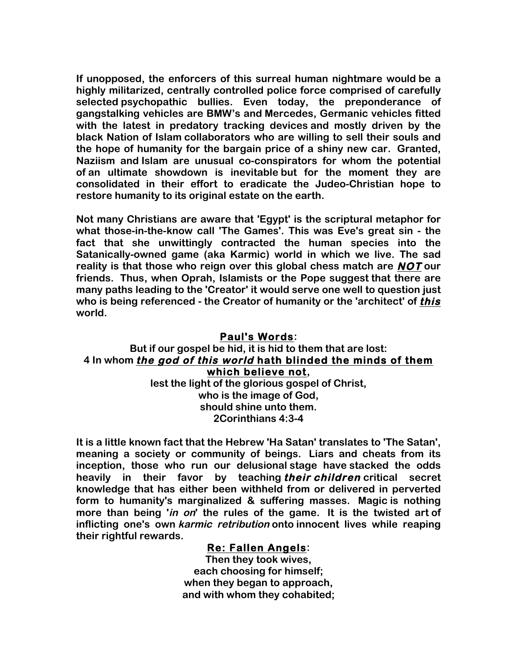**If unopposed, the enforcers of this surreal human nightmare would be a highly militarized, centrally controlled police force comprised of carefully selected psychopathic bullies. Even today, the preponderance of gangstalking vehicles are BMW's and Mercedes, Germanic vehicles fitted with the latest in predatory tracking devices and mostly driven by the black Nation of Islam collaborators who are willing to sell their souls and the hope of humanity for the bargain price of a shiny new car. Granted, Naziism and Islam are unusual co-conspirators for whom the potential of an ultimate showdown is inevitable but for the moment they are consolidated in their effort to eradicate the Judeo-Christian hope to restore humanity to its original estate on the earth.**

**Not many Christians are aware that 'Egypt' is the scriptural metaphor for what those-in-the-know call 'The Games'. This was Eve's great sin - the fact that she unwittingly contracted the human species into the Satanically-owned game (aka Karmic) world in which we live. The sad reality is that those who reign over this global chess match are NOT our friends. Thus, when Oprah, Islamists or the Pope suggest that there are many paths leading to the 'Creator' it would serve one well to question just who is being referenced - the Creator of humanity or the 'architect' of this world.**

# **Paul's Words: But if our gospel be hid, it is hid to them that are lost: 4 In whom the god of this world hath blinded the minds of them which believe not,**

**lest the light of the glorious gospel of Christ, who is the image of God, should shine unto them. 2Corinthians 4:3-4**

**It is a little known fact that the Hebrew 'Ha Satan' translates to 'The Satan', meaning a society or community of beings. Liars and cheats from its inception, those who run our delusional stage have stacked the odds heavily in their favor by teaching their children critical secret knowledge that has either been withheld from or delivered in perverted form to humanity's marginalized & suffering masses. Magic is nothing more than being 'in on' the rules of the game. It is the twisted art of inflicting one's own karmic retribution onto innocent lives while reaping their rightful rewards.**

### **Re: Fallen Angels:**

**Then they took wives, each choosing for himself; when they began to approach, and with whom they cohabited;**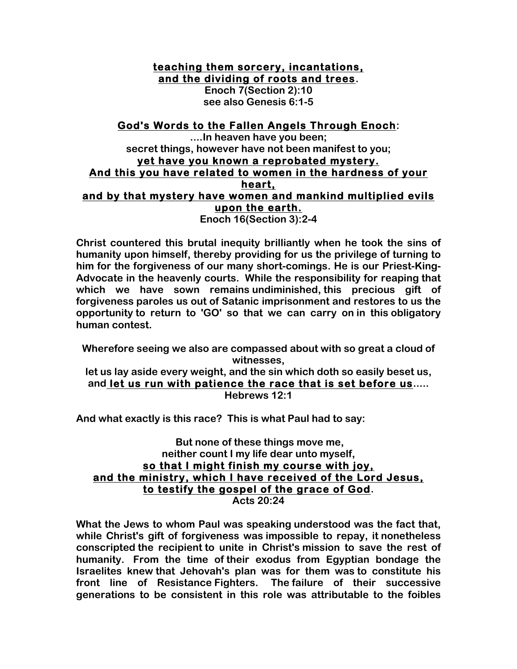**teaching them sorcery, incantations, and the dividing of roots and trees.**

> **Enoch 7(Section 2):10 see also Genesis 6:1-5**

# **God's Words to the Fallen Angels Through Enoch:**

**....In heaven have you been; secret things, however have not been manifest to you; yet have you known a reprobated mystery. And this you have related to women in the hardness of your heart, and by that mystery have women and mankind multiplied evils upon the earth.**

**Enoch 16(Section 3):2-4**

**Christ countered this brutal inequity brilliantly when he took the sins of humanity upon himself, thereby providing for us the privilege of turning to him for the forgiveness of our many short-comings. He is our Priest-King-Advocate in the heavenly courts. While the responsibility for reaping that which we have sown remains undiminished, this precious gift of forgiveness paroles us out of Satanic imprisonment and restores to us the opportunity to return to 'GO' so that we can carry on in this obligatory human contest.**

**Wherefore seeing we also are compassed about with so great a cloud of witnesses, let us lay aside every weight, and the sin which doth so easily beset us,**

**and let us run with patience the race that is set before us..... Hebrews 12:1**

**And what exactly is this race? This is what Paul had to say:**

### **But none of these things move me, neither count I my life dear unto myself, so that I might finish my course with joy, and the ministry, which I have received of the Lord Jesus, to testify the gospel of the grace of God. Acts 20:24**

**What the Jews to whom Paul was speaking understood was the fact that, while Christ's gift of forgiveness was impossible to repay, it nonetheless conscripted the recipient to unite in Christ's mission to save the rest of humanity. From the time of their exodus from Egyptian bondage the Israelites knew that Jehovah's plan was for them was to constitute his front line of Resistance Fighters. The failure of their successive generations to be consistent in this role was attributable to the foibles**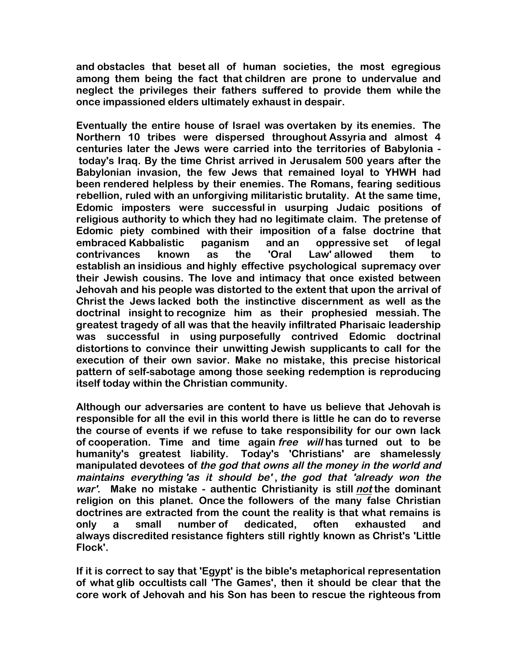**and obstacles that beset all of human societies, the most egregious among them being the fact that children are prone to undervalue and neglect the privileges their fathers suffered to provide them while the once impassioned elders ultimately exhaust in despair.**

**Eventually the entire house of Israel was overtaken by its enemies. The Northern 10 tribes were dispersed throughout Assyria and almost 4 centuries later the Jews were carried into the territories of Babylonia today's Iraq. By the time Christ arrived in Jerusalem 500 years after the Babylonian invasion, the few Jews that remained loyal to YHWH had been rendered helpless by their enemies. The Romans, fearing seditious rebellion, ruled with an unforgiving militaristic brutality. At the same time, Edomic imposters were successful in usurping Judaic positions of religious authority to which they had no legitimate claim. The pretense of Edomic piety combined with their imposition of a false doctrine that embraced Kabbalistic paganism and an oppressive set of legal contrivances known as the 'Oral Law' allowed them to establish an insidious and highly effective psychological supremacy over their Jewish cousins. The love and intimacy that once existed between Jehovah and his people was distorted to the extent that upon the arrival of Christ the Jews lacked both the instinctive discernment as well as the doctrinal insight to recognize him as their prophesied messiah. The greatest tragedy of all was that the heavily infiltrated Pharisaic leadership was successful in using purposefully contrived Edomic doctrinal distortions to convince their unwitting Jewish supplicants to call for the execution of their own savior. Make no mistake, this precise historical pattern of self-sabotage among those seeking redemption is reproducing itself today within the Christian community.**

**Although our adversaries are content to have us believe that Jehovah is responsible for all the evil in this world there is little he can do to reverse the course of events if we refuse to take responsibility for our own lack of cooperation. Time and time again free will has turned out to be humanity's greatest liability. Today's 'Christians' are shamelessly manipulated devotees of the god that owns all the money in the world and maintains everything 'as it should be' , the god that 'already won the war'. Make no mistake - authentic Christianity is still not the dominant religion on this planet. Once the followers of the many false Christian doctrines are extracted from the count the reality is that what remains is only a small number of dedicated, often exhausted and always discredited resistance fighters still rightly known as Christ's 'Little Flock'.**

**If it is correct to say that 'Egypt' is the bible's metaphorical representation of what glib occultists call 'The Games', then it should be clear that the core work of Jehovah and his Son has been to rescue the righteous from**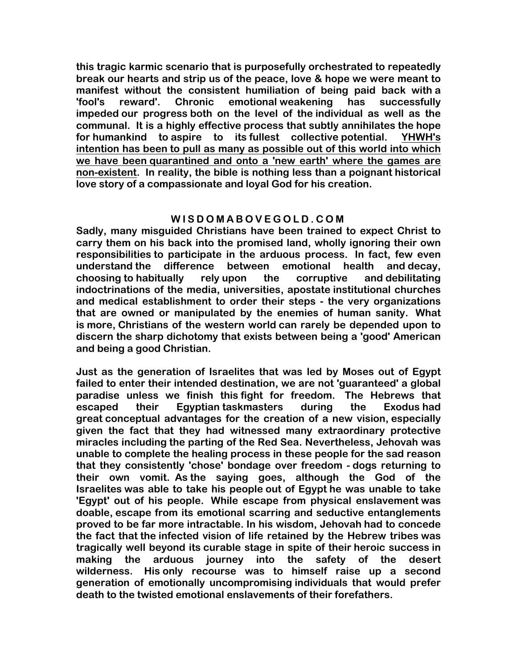**this tragic karmic scenario that is purposefully orchestrated to repeatedly break our hearts and strip us of the peace, love & hope we were meant to manifest without the consistent humiliation of being paid back with a 'fool's reward'. Chronic emotional weakening has successfully impeded our progress both on the level of the individual as well as the communal. It is a highly effective process that subtly annihilates the hope for humankind to aspire to its fullest collective potential. YHWH's intention has been to pull as many as possible out of this world into which we have been quarantined and onto a 'new earth' where the games are non-existent. In reality, the bible is nothing less than a poignant historical love story of a compassionate and loyal God for his creation.**

# **WISDOMABOVEGOLD.COM**

**Sadly, many misguided Christians have been trained to expect Christ to carry them on his back into the promised land, wholly ignoring their own responsibilities to participate in the arduous process. In fact, few even understand the difference between emotional health and decay, choosing to habitually rely upon the corruptive and debilitating indoctrinations of the media, universities, apostate institutional churches and medical establishment to order their steps - the very organizations that are owned or manipulated by the enemies of human sanity. What is more, Christians of the western world can rarely be depended upon to discern the sharp dichotomy that exists between being a 'good' American and being a good Christian.**

**Just as the generation of Israelites that was led by Moses out of Egypt failed to enter their intended destination, we are not 'guaranteed' a global paradise unless we finish this fight for freedom. The Hebrews that escaped their Egyptian taskmasters during the Exodus had great conceptual advantages for the creation of a new vision, especially given the fact that they had witnessed many extraordinary protective miracles including the parting of the Red Sea. Nevertheless, Jehovah was unable to complete the healing process in these people for the sad reason that they consistently 'chose' bondage over freedom - dogs returning to their own vomit. As the saying goes, although the God of the Israelites was able to take his people out of Egypt he was unable to take 'Egypt' out of his people. While escape from physical enslavement was doable, escape from its emotional scarring and seductive entanglements proved to be far more intractable. In his wisdom, Jehovah had to concede the fact that the infected vision of life retained by the Hebrew tribes was tragically well beyond its curable stage in spite of their heroic success in making the arduous journey into the safety of the desert wilderness. His only recourse was to himself raise up a second generation of emotionally uncompromising individuals that would prefer death to the twisted emotional enslavements of their forefathers.**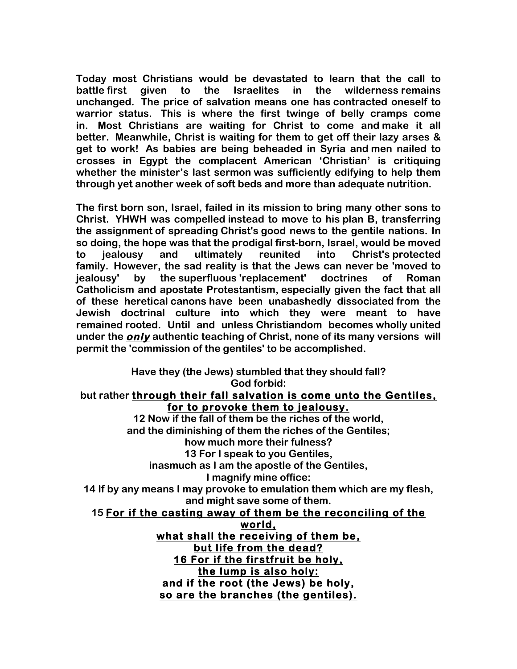**Today most Christians would be devastated to learn that the call to battle first given to the Israelites in the wilderness remains unchanged. The price of salvation means one has contracted oneself to warrior status. This is where the first twinge of belly cramps come in. Most Christians are waiting for Christ to come and make it all better. Meanwhile, Christ is waiting for them to get off their lazy arses & get to work! As babies are being beheaded in Syria and men nailed to crosses in Egypt the complacent American 'Christian' is critiquing whether the minister's last sermon was sufficiently edifying to help them through yet another week of soft beds and more than adequate nutrition.**

**The first born son, Israel, failed in its mission to bring many other sons to Christ. YHWH was compelled instead to move to his plan B, transferring the assignment of spreading Christ's good news to the gentile nations. In so doing, the hope was that the prodigal first-born, Israel, would be moved to jealousy and ultimately reunited into Christ's protected family. However, the sad reality is that the Jews can never be 'moved to jealousy' by the superfluous 'replacement' doctrines of Roman Catholicism and apostate Protestantism, especially given the fact that all of these heretical canons have been unabashedly dissociated from the Jewish doctrinal culture into which they were meant to have remained rooted. Until and unless Christiandom becomes wholly united under the only authentic teaching of Christ, none of its many versions will permit the 'commission of the gentiles' to be accomplished.**

## **Have they (the Jews) stumbled that they should fall? God forbid: but rather through their fall salvation is come unto the Gentiles, for to provoke them to jealousy. 12 Now if the fall of them be the riches of the world, and the diminishing of them the riches of the Gentiles; how much more their fulness? 13 For I speak to you Gentiles, inasmuch as I am the apostle of the Gentiles, I magnify mine office: 14 If by any means I may provoke to emulation them which are my flesh, and might save some of them. 15 For if the casting away of them be the reconciling of the world, what shall the receiving of them be, but life from the dead? 16 For if the firstfruit be holy, the lump is also holy: and if the root (the Jews) be holy, so are the branches (the gentiles).**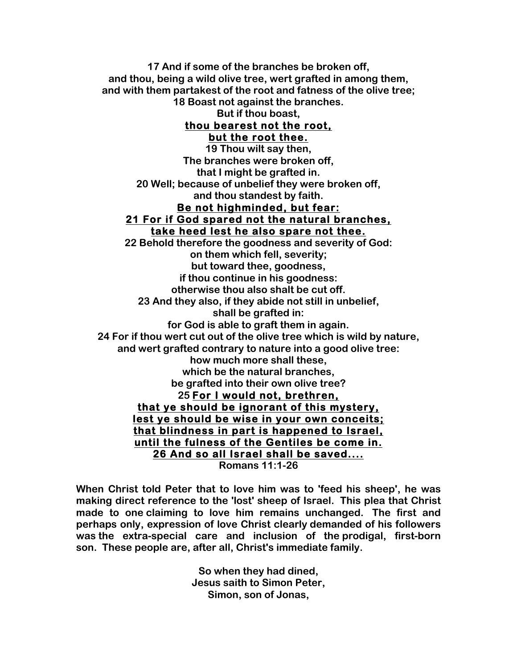**17 And if some of the branches be broken off, and thou, being a wild olive tree, wert grafted in among them, and with them partakest of the root and fatness of the olive tree; 18 Boast not against the branches. But if thou boast, thou bearest not the root, but the root thee. 19 Thou wilt say then, The branches were broken off, that I might be grafted in. 20 Well; because of unbelief they were broken off, and thou standest by faith. Be not highminded, but fear: 21 For if God spared not the natural branches, take heed lest he also spare not thee. 22 Behold therefore the goodness and severity of God: on them which fell, severity; but toward thee, goodness, if thou continue in his goodness: otherwise thou also shalt be cut off. 23 And they also, if they abide not still in unbelief, shall be grafted in: for God is able to graft them in again. 24 For if thou wert cut out of the olive tree which is wild by nature, and wert grafted contrary to nature into a good olive tree: how much more shall these, which be the natural branches, be grafted into their own olive tree? 25 For I would not, brethren, that ye should be ignorant of this mystery, lest ye should be wise in your own conceits; that blindness in part is happened to Israel, until the fulness of the Gentiles be come in. 26 And so all Israel shall be saved.... Romans 11:1-26**

**When Christ told Peter that to love him was to 'feed his sheep', he was making direct reference to the 'lost' sheep of Israel. This plea that Christ made to one claiming to love him remains unchanged. The first and perhaps only, expression of love Christ clearly demanded of his followers was the extra-special care and inclusion of the prodigal, first-born son. These people are, after all, Christ's immediate family.**

> **So when they had dined, Jesus saith to Simon Peter, Simon, son of Jonas,**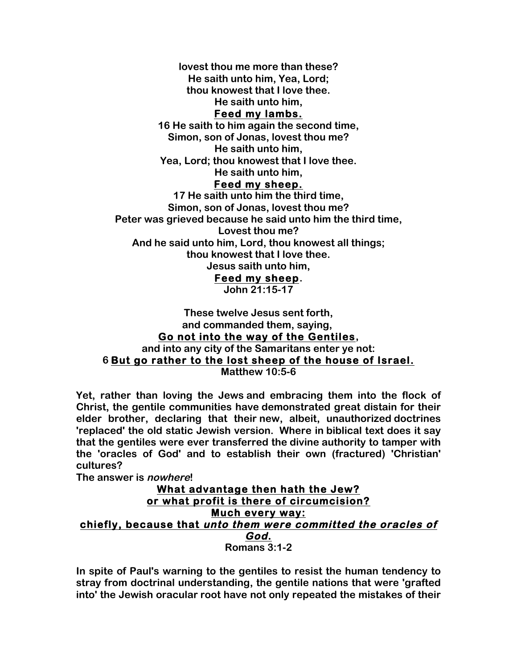**lovest thou me more than these?**

**He saith unto him, Yea, Lord;**

**thou knowest that I love thee.**

**He saith unto him,**

### **Feed my lambs.**

**16 He saith to him again the second time, Simon, son of Jonas, lovest thou me? He saith unto him, Yea, Lord; thou knowest that I love thee.**

**He saith unto him,**

### **Feed my sheep.**

**17 He saith unto him the third time, Simon, son of Jonas, lovest thou me? Peter was grieved because he said unto him the third time, Lovest thou me? And he said unto him, Lord, thou knowest all things; thou knowest that I love thee. Jesus saith unto him, Feed my sheep.**

**John 21:15-17**

### **These twelve Jesus sent forth, and commanded them, saying, Go not into the way of the Gentiles, and into any city of the Samaritans enter ye not: 6 But go rather to the lost sheep of the house of Israel. Matthew 10:5-6**

**Yet, rather than loving the Jews and embracing them into the flock of Christ, the gentile communities have demonstrated great distain for their elder brother, declaring that their new, albeit, unauthorized doctrines 'replaced' the old static Jewish version. Where in biblical text does it say that the gentiles were ever transferred the divine authority to tamper with the 'oracles of God' and to establish their own (fractured) 'Christian' cultures?**

**The answer is nowhere!**

### **What advantage then hath the Jew? or what profit is there of circumcision? Much every way: chiefly, because that unto them were committed the oracles of God. Romans 3:1-2**

**In spite of Paul's warning to the gentiles to resist the human tendency to stray from doctrinal understanding, the gentile nations that were 'grafted into' the Jewish oracular root have not only repeated the mistakes of their**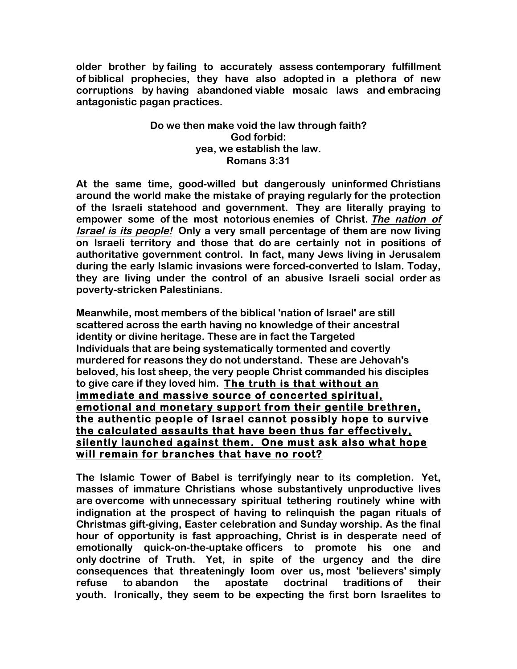**older brother by failing to accurately assess contemporary fulfillment of biblical prophecies, they have also adopted in a plethora of new corruptions by having abandoned viable mosaic laws and embracing antagonistic pagan practices.**

## **Do we then make void the law through faith? God forbid: yea, we establish the law. Romans 3:31**

**At the same time, good-willed but dangerously uninformed Christians around the world make the mistake of praying regularly for the protection of the Israeli statehood and government. They are literally praying to empower some of the most notorious enemies of Christ. The nation of Israel is its people! Only a very small percentage of them are now living on Israeli territory and those that do are certainly not in positions of authoritative government control. In fact, many Jews living in Jerusalem during the early Islamic invasions were forced-converted to Islam. Today, they are living under the control of an abusive Israeli social order as poverty-stricken Palestinians.**

**Meanwhile, most members of the biblical 'nation of Israel' are still scattered across the earth having no knowledge of their ancestral identity or divine heritage. These are in fact the Targeted Individuals that are being systematically tormented and covertly murdered for reasons they do not understand. These are Jehovah's beloved, his lost sheep, the very people Christ commanded his disciples to give care if they loved him. The truth is that without an immediate and massive source of concerted spiritual, emotional and monetary support from their gentile brethren, the authentic people of Israel cannot possibly hope to survive the calculated assaults that have been thus far effectively, silently launched against them. One must ask also what hope will remain for branches that have no root?**

**The Islamic Tower of Babel is terrifyingly near to its completion. Yet, masses of immature Christians whose substantively unproductive lives are overcome with unnecessary spiritual tethering routinely whine with indignation at the prospect of having to relinquish the pagan rituals of Christmas gift-giving, Easter celebration and Sunday worship. As the final hour of opportunity is fast approaching, Christ is in desperate need of emotionally quick-on-the-uptake officers to promote his one and only doctrine of Truth. Yet, in spite of the urgency and the dire consequences that threateningly loom over us, most 'believers' simply refuse to abandon the apostate doctrinal traditions of their youth. Ironically, they seem to be expecting the first born Israelites to**